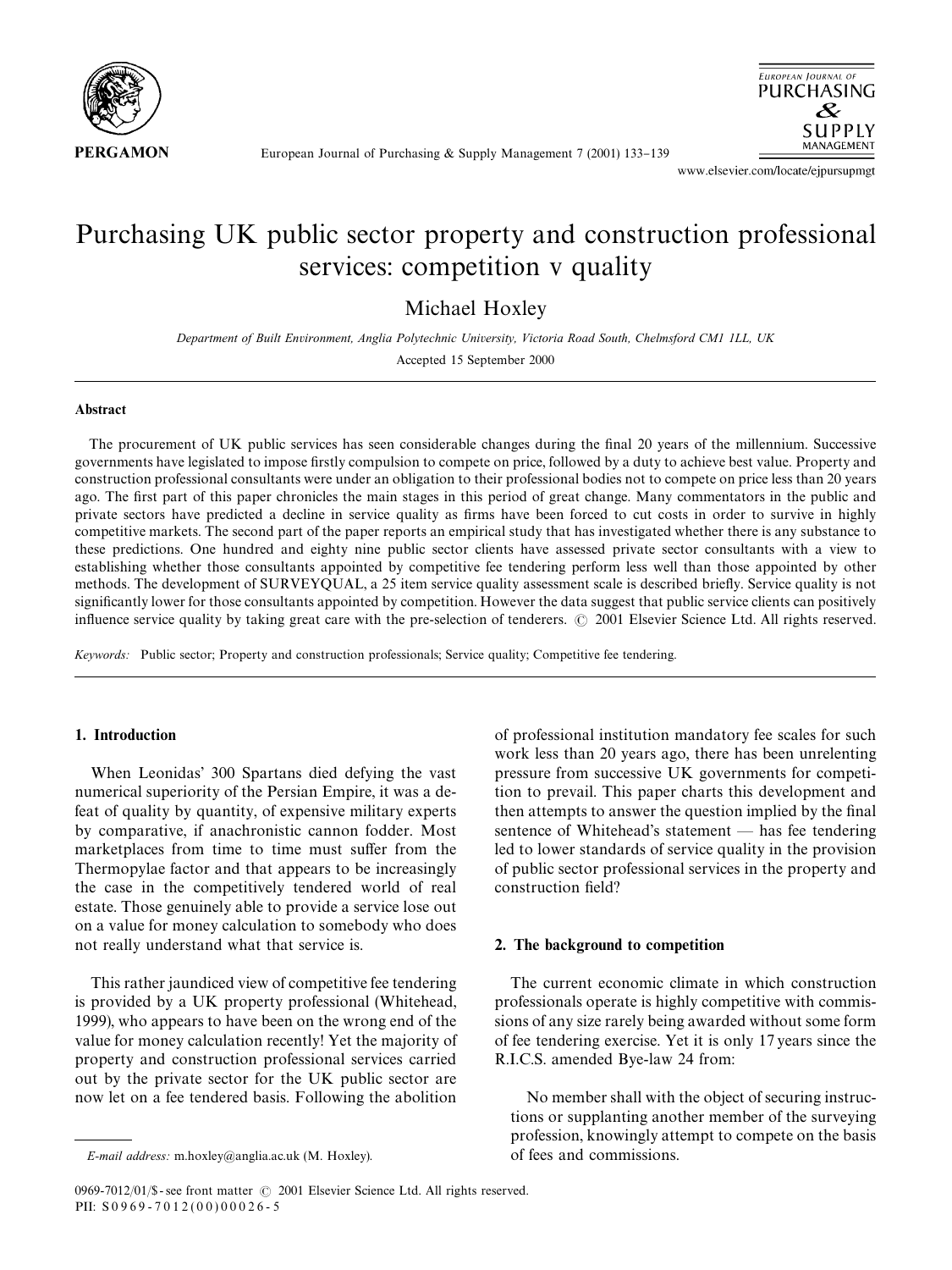

European Journal of Purchasing & Supply Management 7 (2001) 133-139



www.elsevier.com/locate/ejpursupmgt

# Purchasing UK public sector property and construction professional services: competition v quality

Michael Hoxley

*Department of Built Environment, Anglia Polytechnic University, Victoria Road South, Chelmsford CM1 1LL, UK* Accepted 15 September 2000

### Abstract

The procurement of UK public services has seen considerable changes during the final 20 years of the millennium. Successive governments have legislated to impose firstly compulsion to compete on price, followed by a duty to achieve best value. Property and construction professional consultants were under an obligation to their professional bodies not to compete on price less than 20 years ago. The first part of this paper chronicles the main stages in this period of great change. Many commentators in the public and private sectors have predicted a decline in service quality as firms have been forced to cut costs in order to survive in highly competitive markets. The second part of the paper reports an empirical study that has investigated whether there is any substance to these predictions. One hundred and eighty nine public sector clients have assessed private sector consultants with a view to establishing whether those consultants appointed by competitive fee tendering perform less well than those appointed by other methods. The development of SURVEYQUAL, a 25 item service quality assessment scale is described briefly. Service quality is not significantly lower for those consultants appointed by competition. However the data suggest that public service clients can positively influence service quality by taking great care with the pre-selection of tenderers. © 2001 Elsevier Science Ltd. All rights reserved.

*Keywords:* Public sector; Property and construction professionals; Service quality; Competitive fee tendering.

### 1. Introduction

When Leonidas' 300 Spartans died defying the vast numerical superiority of the Persian Empire, it was a defeat of quality by quantity, of expensive military experts by comparative, if anachronistic cannon fodder. Most marketplaces from time to time must suffer from the Thermopylae factor and that appears to be increasingly the case in the competitively tendered world of real estate. Those genuinely able to provide a service lose out on a value for money calculation to somebody who does not really understand what that service is.

This rather jaundiced view of competitive fee tendering is provided by a UK property professional (Whitehead, 1999), who appears to have been on the wrong end of the value for money calculation recently! Yet the majority of property and construction professional services carried out by the private sector for the UK public sector are now let on a fee tendered basis. Following the abolition

of professional institution mandatory fee scales for such work less than 20 years ago, there has been unrelenting pressure from successive UK governments for competition to prevail. This paper charts this development and then attempts to answer the question implied by the final sentence of Whitehead's statement  $-$  has fee tendering led to lower standards of service quality in the provision of public sector professional services in the property and construction field?

### 2. The background to competition

The current economic climate in which construction professionals operate is highly competitive with commissions of any size rarely being awarded without some form of fee tendering exercise. Yet it is only 17 years since the R.I.C.S. amended Bye-law 24 from:

No member shall with the object of securing instructions or supplanting another member of the surveying profession, knowingly attempt to compete on the basis of fees and commissions.

*E-mail address:* m.hoxley@anglia.ac.uk (M. Hoxley).

<sup>0969-7012/01/\$ -</sup> see front matter  $\odot$  2001 Elsevier Science Ltd. All rights reserved. PII:  $S0969 - 7012(00)00026 - 5$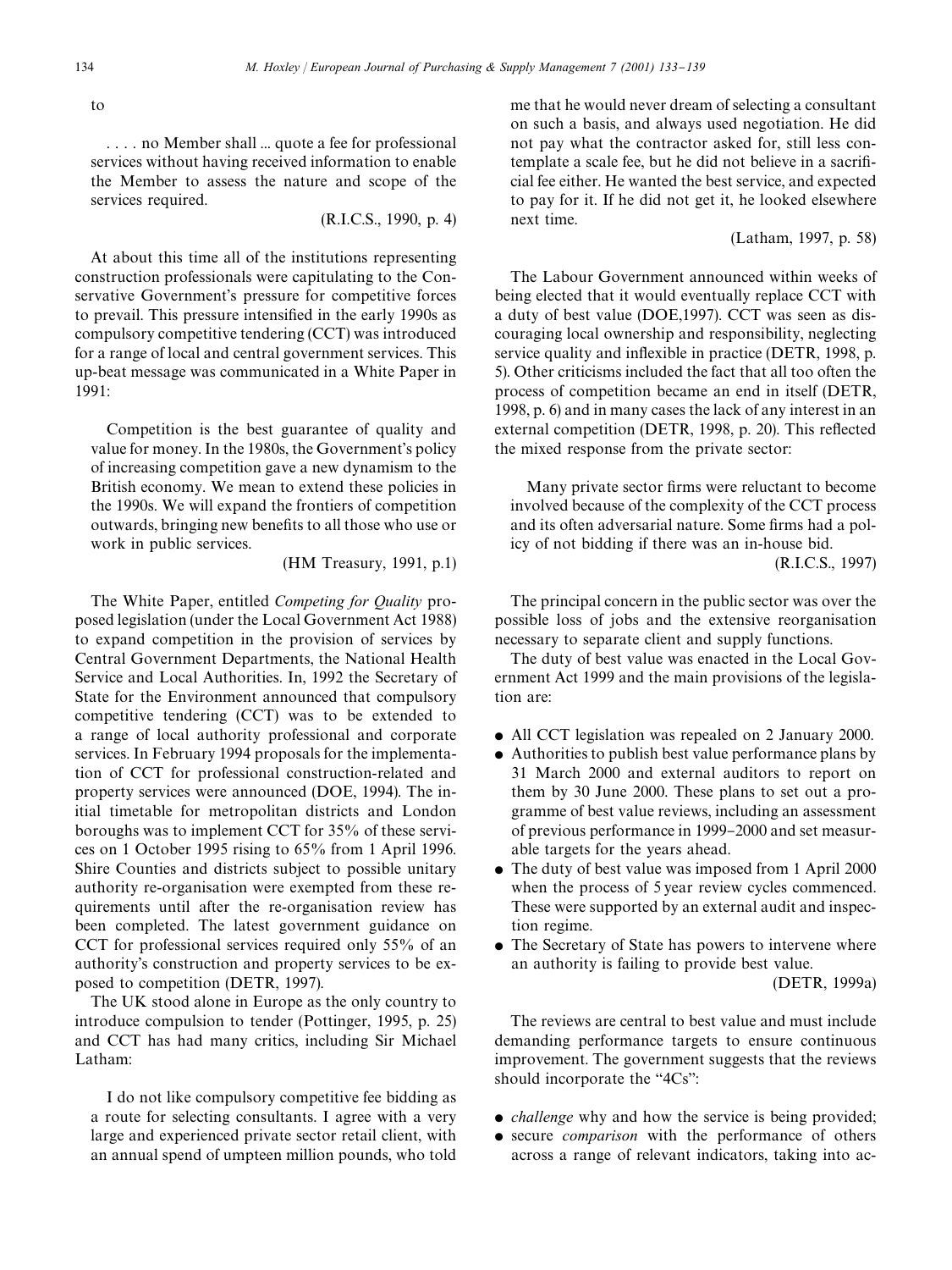to

. . . . no Member shall ... quote a fee for professional services without having received information to enable the Member to assess the nature and scope of the services required.

(R.I.C.S., 1990, p. 4)

At about this time all of the institutions representing construction professionals were capitulating to the Conservative Government's pressure for competitive forces to prevail. This pressure intensified in the early 1990s as compulsory competitive tendering (CCT) was introduced for a range of local and central government services. This up-beat message was communicated in a White Paper in 1991:

Competition is the best guarantee of quality and value for money. In the 1980s, the Government's policy of increasing competition gave a new dynamism to the British economy. We mean to extend these policies in the 1990s. We will expand the frontiers of competition outwards, bringing new benefits to all those who use or work in public services.

(HM Treasury, 1991, p.1)

The White Paper, entitled *Competing for Quality* proposed legislation (under the Local Government Act 1988) to expand competition in the provision of services by Central Government Departments, the National Health Service and Local Authorities. In, 1992 the Secretary of State for the Environment announced that compulsory competitive tendering (CCT) was to be extended to a range of local authority professional and corporate services. In February 1994 proposals for the implementation of CCT for professional construction-related and property services were announced (DOE, 1994). The initial timetable for metropolitan districts and London boroughs was to implement CCT for 35% of these services on 1 October 1995 rising to 65% from 1 April 1996. Shire Counties and districts subject to possible unitary authority re-organisation were exempted from these requirements until after the re-organisation review has been completed. The latest government guidance on CCT for professional services required only 55% of an authority's construction and property services to be exposed to competition (DETR, 1997).

The UK stood alone in Europe as the only country to introduce compulsion to tender (Pottinger, 1995, p. 25) and CCT has had many critics, including Sir Michael Latham:

I do not like compulsory competitive fee bidding as a route for selecting consultants. I agree with a very large and experienced private sector retail client, with an annual spend of umpteen million pounds, who told me that he would never dream of selecting a consultant on such a basis, and always used negotiation. He did not pay what the contractor asked for, still less contemplate a scale fee, but he did not believe in a sacrificial fee either. He wanted the best service, and expected to pay for it. If he did not get it, he looked elsewhere next time.

(Latham, 1997, p. 58)

The Labour Government announced within weeks of being elected that it would eventually replace CCT with a duty of best value (DOE,1997). CCT was seen as discouraging local ownership and responsibility, neglecting service quality and inflexible in practice (DETR, 1998, p. 5). Other criticisms included the fact that all too often the process of competition became an end in itself (DETR, 1998, p. 6) and in many cases the lack of any interest in an external competition (DETR, 1998, p. 20). This reflected the mixed response from the private sector:

Many private sector firms were reluctant to become involved because of the complexity of the CCT process and its often adversarial nature. Some firms had a policy of not bidding if there was an in-house bid.

(R.I.C.S., 1997)

The principal concern in the public sector was over the possible loss of jobs and the extensive reorganisation necessary to separate client and supply functions.

The duty of best value was enacted in the Local Government Act 1999 and the main provisions of the legislation are:

- All CCT legislation was repealed on 2 January 2000.
- Authorities to publish best value performance plans by 31 March 2000 and external auditors to report on them by 30 June 2000. These plans to set out a programme of best value reviews, including an assessment of previous performance in 1999–2000 and set measurable targets for the years ahead.
- The duty of best value was imposed from 1 April 2000 when the process of 5 year review cycles commenced. These were supported by an external audit and inspection regime.
- The Secretary of State has powers to intervene where an authority is failing to provide best value.

(DETR, 1999a)

The reviews are central to best value and must include demanding performance targets to ensure continuous improvement. The government suggests that the reviews should incorporate the  $4Cs$ ":

- *challenge* why and how the service is being provided;
- $\bullet$  secure *comparison* with the performance of others across a range of relevant indicators, taking into ac-